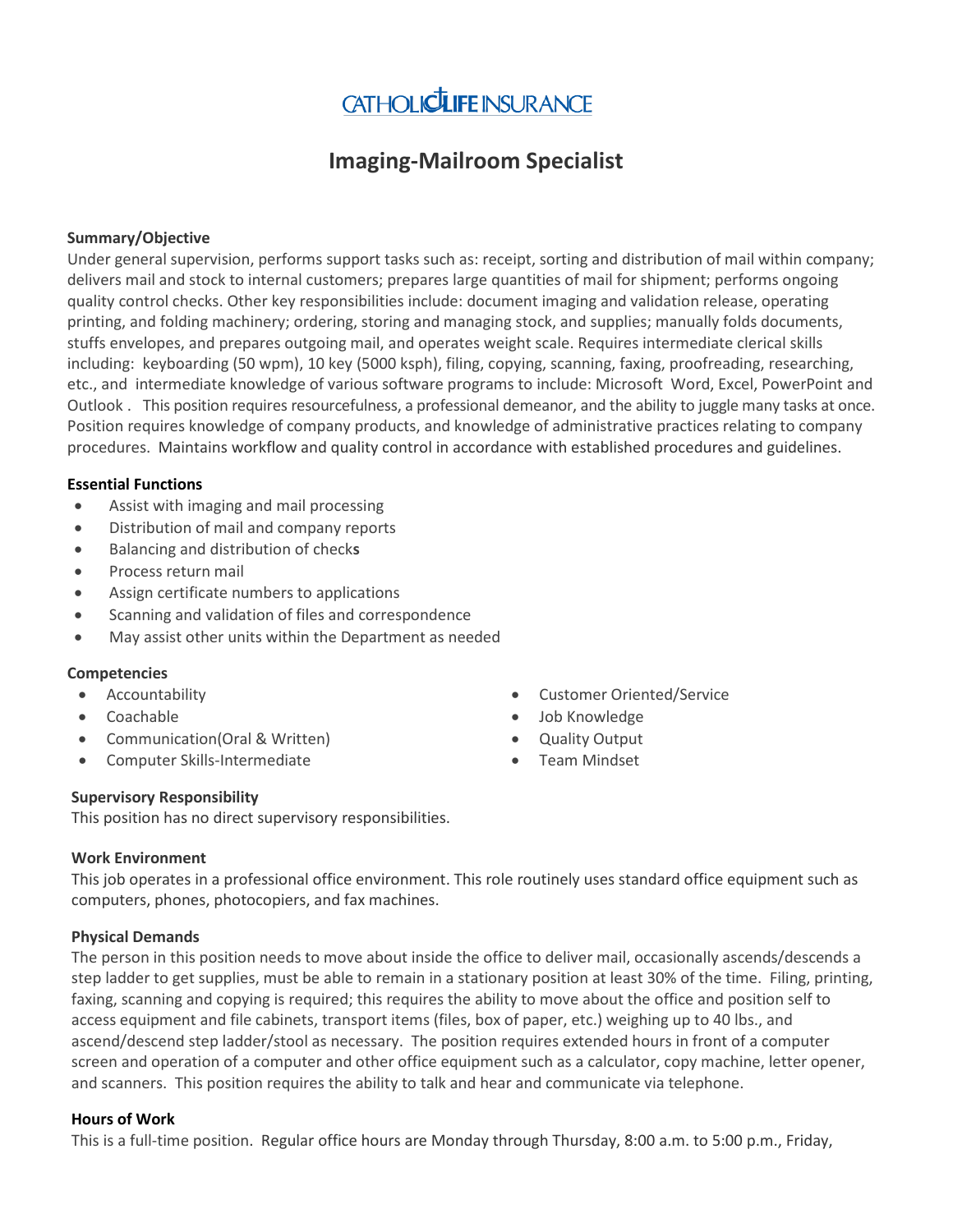

# **Imaging-Mailroom Specialist**

## **Summary/Objective**

Under general supervision, performs support tasks such as: receipt, sorting and distribution of mail within company; delivers mail and stock to internal customers; prepares large quantities of mail for shipment; performs ongoing quality control checks. Other key responsibilities include: document imaging and validation release, operating printing, and folding machinery; ordering, storing and managing stock, and supplies; manually folds documents, stuffs envelopes, and prepares outgoing mail, and operates weight scale. Requires intermediate clerical skills including: keyboarding (50 wpm), 10 key (5000 ksph), filing, copying, scanning, faxing, proofreading, researching, etc., and intermediate knowledge of various software programs to include: Microsoft Word, Excel, PowerPoint and Outlook . This position requires resourcefulness, a professional demeanor, and the ability to juggle many tasks at once. Position requires knowledge of company products, and knowledge of administrative practices relating to company procedures. Maintains workflow and quality control in accordance with established procedures and guidelines.

### **Essential Functions**

- Assist with imaging and mail processing
- Distribution of mail and company reports
- Balancing and distribution of check**s**
- Process return mail
- Assign certificate numbers to applications
- Scanning and validation of files and correspondence
- May assist other units within the Department as needed

#### **Competencies**

- Accountability
- Coachable
- Communication(Oral & Written)
- Computer Skills-Intermediate
- Customer Oriented/Service
- Job Knowledge
- Quality Output
- Team Mindset

#### **Supervisory Responsibility**

This position has no direct supervisory responsibilities.

#### **Work Environment**

This job operates in a professional office environment. This role routinely uses standard office equipment such as computers, phones, photocopiers, and fax machines.

#### **Physical Demands**

The person in this position needs to move about inside the office to deliver mail, occasionally ascends/descends a step ladder to get supplies, must be able to remain in a stationary position at least 30% of the time. Filing, printing, faxing, scanning and copying is required; this requires the ability to move about the office and position self to access equipment and file cabinets, transport items (files, box of paper, etc.) weighing up to 40 lbs., and ascend/descend step ladder/stool as necessary. The position requires extended hours in front of a computer screen and operation of a computer and other office equipment such as a calculator, copy machine, letter opener, and scanners. This position requires the ability to talk and hear and communicate via telephone.

#### **Hours of Work**

This is a full-time position. Regular office hours are Monday through Thursday, 8:00 a.m. to 5:00 p.m., Friday,